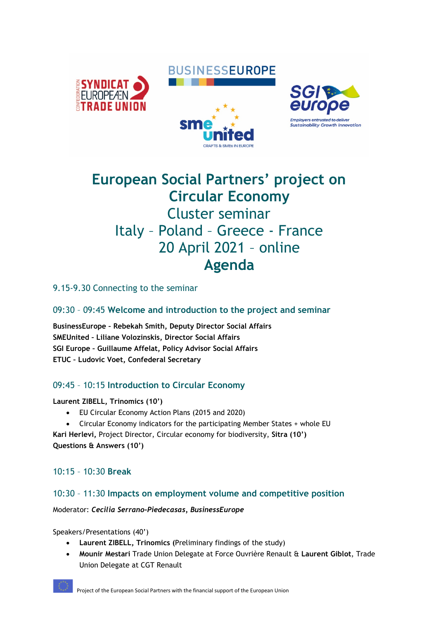# **BUSINESSEUROPE**







# **European Social Partners' project on Circular Economy** Cluster seminar Italy – Poland – Greece - France 20 April 2021 – online **Agenda**

9.15-9.30 Connecting to the seminar

# 09:30 – 09:45 **Welcome and introduction to the project and seminar**

**BusinessEurope – Rebekah Smith, Deputy Director Social Affairs SMEUnited – Liliane Volozinskis, Director Social Affairs SGI Europe – Guillaume Affelat, Policy Advisor Social Affairs ETUC – Ludovic Voet, Confederal Secretary**

# 09:45 – 10:15 **Introduction to Circular Economy**

#### **Laurent ZIBELL, Trinomics (10')**

- EU Circular Economy Action Plans (2015 and 2020)
- Circular Economy indicators for the participating Member States + whole EU

**Kari Herlevi,** Project Director, Circular economy for biodiversity, **Sitra (10') Questions & Answers (10')**

# 10:15 – 10:30 **Break**

## 10:30 – 11:30 **Impacts on employment volume and competitive position**

#### Moderator: *Cecilia Serrano-Piedecasas, BusinessEurope*

Speakers/Presentations (40')

- **Laurent ZIBELL, Trinomics (**Preliminary findings of the study)
- **Mounir Mestari** Trade Union Delegate at Force Ouvrière Renault & **Laurent Giblot**, Trade Union Delegate at CGT Renault